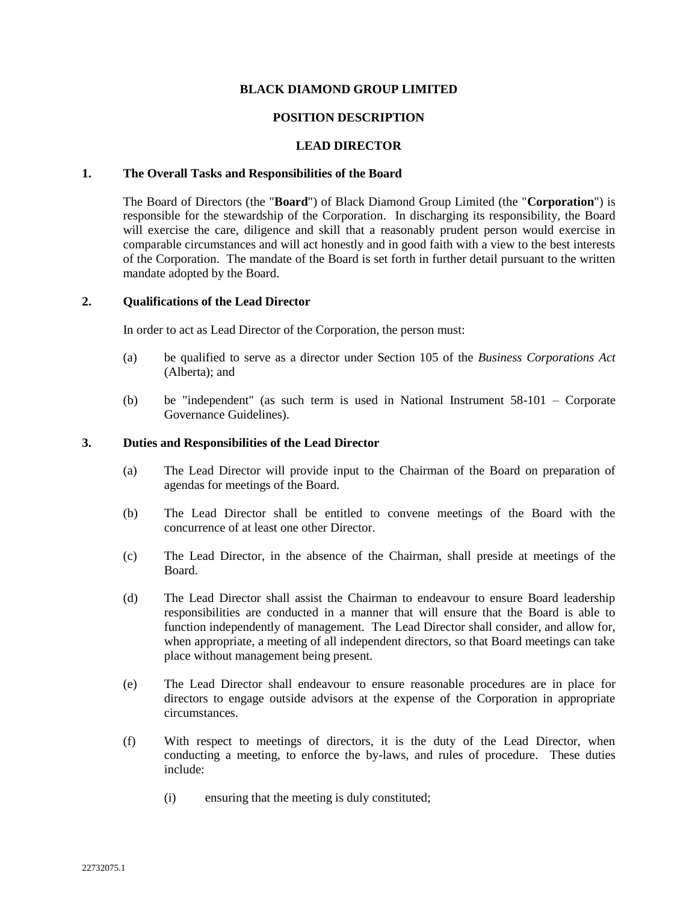# **BLACK DIAMOND GROUP LIMITED**

# **POSITION DESCRIPTION**

### **LEAD DIRECTOR**

### **1. The Overall Tasks and Responsibilities of the Board**

The Board of Directors (the "**Board**") of Black Diamond Group Limited (the "**Corporation**") is responsible for the stewardship of the Corporation. In discharging its responsibility, the Board will exercise the care, diligence and skill that a reasonably prudent person would exercise in comparable circumstances and will act honestly and in good faith with a view to the best interests of the Corporation. The mandate of the Board is set forth in further detail pursuant to the written mandate adopted by the Board.

# **2. Qualifications of the Lead Director**

In order to act as Lead Director of the Corporation, the person must:

- (a) be qualified to serve as a director under Section 105 of the *Business Corporations Act* (Alberta); and
- (b) be "independent" (as such term is used in National Instrument 58-101 Corporate Governance Guidelines).

#### **3. Duties and Responsibilities of the Lead Director**

- (a) The Lead Director will provide input to the Chairman of the Board on preparation of agendas for meetings of the Board.
- (b) The Lead Director shall be entitled to convene meetings of the Board with the concurrence of at least one other Director.
- (c) The Lead Director, in the absence of the Chairman, shall preside at meetings of the Board.
- (d) The Lead Director shall assist the Chairman to endeavour to ensure Board leadership responsibilities are conducted in a manner that will ensure that the Board is able to function independently of management. The Lead Director shall consider, and allow for, when appropriate, a meeting of all independent directors, so that Board meetings can take place without management being present.
- (e) The Lead Director shall endeavour to ensure reasonable procedures are in place for directors to engage outside advisors at the expense of the Corporation in appropriate circumstances.
- (f) With respect to meetings of directors, it is the duty of the Lead Director, when conducting a meeting, to enforce the by-laws, and rules of procedure. These duties include:
	- (i) ensuring that the meeting is duly constituted;